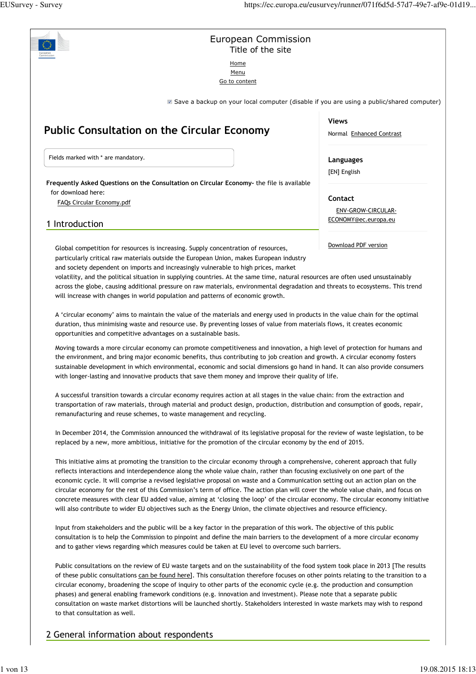## European Commission Title of the site

Home Menu

Go to content

■ Save a backup on your local computer (disable if you are using a public/shared computer)

# **Public Consultation on the Circular Economy**

Fields marked with \* are mandatory.

**Frequently Asked Questions on the Consultation on Circular Economy-** the file is available for download here:

FAQs Circular Economy.pdf

# 1 Introduction

Global competition for resources is increasing. Supply concentration of resources, particularly critical raw materials outside the European Union, makes European industry and society dependent on imports and increasingly vulnerable to high prices, market

volatility, and the political situation in supplying countries. At the same time, natural resources are often used unsustainably across the globe, causing additional pressure on raw materials, environmental degradation and threats to ecosystems. This trend will increase with changes in world population and patterns of economic growth.

A 'circular economy' aims to maintain the value of the materials and energy used in products in the value chain for the optimal duration, thus minimising waste and resource use. By preventing losses of value from materials flows, it creates economic opportunities and competitive advantages on a sustainable basis.

Moving towards a more circular economy can promote competitiveness and innovation, a high level of protection for humans and the environment, and bring major economic benefits, thus contributing to job creation and growth. A circular economy fosters sustainable development in which environmental, economic and social dimensions go hand in hand. It can also provide consumers with longer-lasting and innovative products that save them money and improve their quality of life.

A successful transition towards a circular economy requires action at all stages in the value chain: from the extraction and transportation of raw materials, through material and product design, production, distribution and consumption of goods, repair, remanufacturing and reuse schemes, to waste management and recycling.

In December 2014, the Commission announced the withdrawal of its legislative proposal for the review of waste legislation, to be replaced by a new, more ambitious, initiative for the promotion of the circular economy by the end of 2015.

This initiative aims at promoting the transition to the circular economy through a comprehensive, coherent approach that fully reflects interactions and interdependence along the whole value chain, rather than focusing exclusively on one part of the economic cycle. It will comprise a revised legislative proposal on waste and a Communication setting out an action plan on the circular economy for the rest of this Commission's term of office. The action plan will cover the whole value chain, and focus on concrete measures with clear EU added value, aiming at 'closing the loop' of the circular economy. The circular economy initiative will also contribute to wider EU objectives such as the Energy Union, the climate objectives and resource efficiency.

Input from stakeholders and the public will be a key factor in the preparation of this work. The objective of this public consultation is to help the Commission to pinpoint and define the main barriers to the development of a more circular economy and to gather views regarding which measures could be taken at EU level to overcome such barriers.

Public consultations on the review of EU waste targets and on the sustainability of the food system took place in 2013 [The results of these public consultations can be found here]. This consultation therefore focuses on other points relating to the transition to a circular economy, broadening the scope of inquiry to other parts of the economic cycle (e.g. the production and consumption phases) and general enabling framework conditions (e.g. innovation and investment). Please note that a separate public consultation on waste market distortions will be launched shortly. Stakeholders interested in waste markets may wish to respond to that consultation as well.

# 2 General information about respondents

**Views**

Normal Enhanced Contrast

**Languages**

[EN] English

**Contact**

ENV-GROW-CIRCULAR-ECONOMY@ec.europa.eu

Download PDF version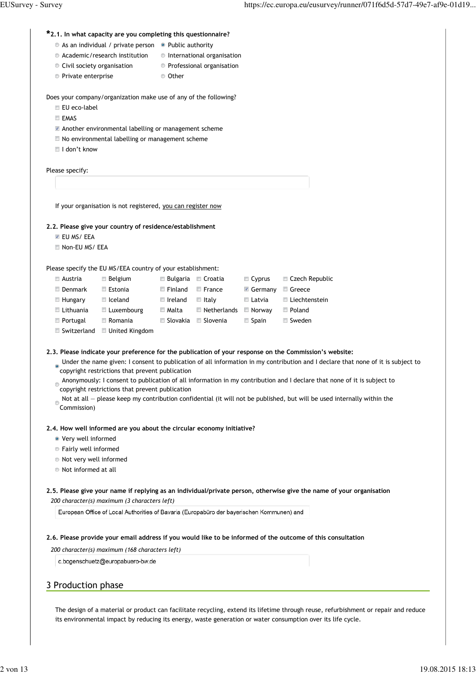# **2.1. In what capacity are you completing this questionnaire? \***

- $\bullet$  As an individual / private person  $\bullet$  Public authority
- $\bullet$  Academic/research institution  $\bullet$  International organisation
	-
	-
- 
- Civil society organisation • Professional organisation
- Private enterprise **Other**

Does your company/organization make use of any of the following?

- EU eco-label
- **EMAS**
- Another environmental labelling or management scheme
- $\blacksquare$  No environmental labelling or management scheme
- I don't know

Please specify:

If your organisation is not registered, you can register now

#### **2.2. Please give your country of residence/establishment**

- **EU MS/ EEA**
- Non-EU MS/ EEA

Please specify the EU MS/EEA country of your establishment:

| ■ Austria              | ■ Belgium              | <b>Bulgaria</b>        | ■ Croatia                  | $\blacksquare$ Cyprus  | $\Box$ Czech Republic |
|------------------------|------------------------|------------------------|----------------------------|------------------------|-----------------------|
| Denmark                | Estonia                | $\blacksquare$ Finland | $\Box$ France              | $\blacksquare$ Germany | ■ Greece              |
| $\blacksquare$ Hungary | $\blacksquare$ Iceland | ■ Ireland              | $\blacksquare$ Italv       | ■ Latvia               | ■ Liechtenstein       |
| Lithuania              | Luxembourg             | ■ Malta                | $\blacksquare$ Netherlands | Norway                 | Poland                |
| Portugal               | $\Box$ Romania         | ■ Slovakia             | ■ Slovenia                 | $\Box$ Spain           | ■ Sweden              |
|                        |                        |                        |                            |                        |                       |

■ Switzerland ■ United Kingdom

**2.3. Please indicate your preference for the publication of your response on the Commission's website:**

- **Under the name given: I consent to publication of all information in my contribution and I declare that none of it is subject to** copyright restrictions that prevent publication
- Anonymously: I consent to publication of all information in my contribution and I declare that none of it is subject to copyright restrictions that prevent publication
- Not at all please keep my contribution confidential (it will not be published, but will be used internally within the  $\infty$  Commission)

#### **2.4. How well informed are you about the circular economy initiative?**

- Very well informed
- Fairly well informed
- Not very well informed
- Not informed at all

**2.5. Please give your name if replying as an individual/private person, otherwise give the name of your organisation** *200 character(s) maximum (3 characters left)*

European Office of Local Authorities of Bavaria (Europabüro der bayerischen Kommunen) and

#### **2.6. Please provide your email address if you would like to be informed of the outcome of this consultation**

*200 character(s) maximum (168 characters left)*

c.bogenschuetz@europabuero-bw.de

## 3 Production phase

The design of a material or product can facilitate recycling, extend its lifetime through reuse, refurbishment or repair and reduce its environmental impact by reducing its energy, waste generation or water consumption over its life cycle.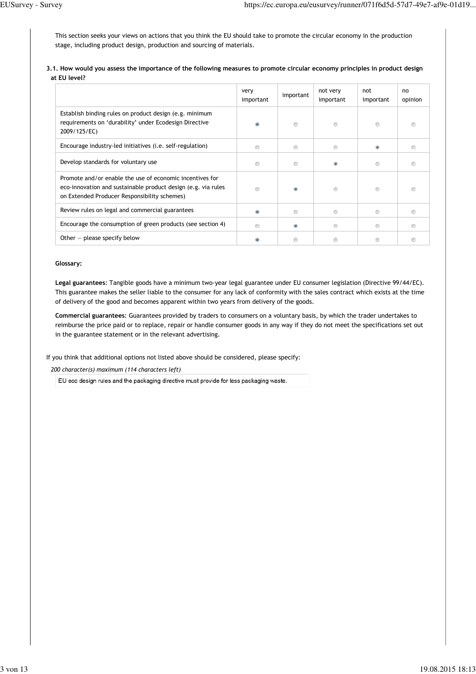This section seeks your views on actions that you think the EU should take to promote the circular economy in the production stage, including product design, production and sourcing of materials.

**3.1. How would you assess the importance of the following measures to promote circular economy principles in product design at EU level?**

|                                                                                                                                                                           | very<br>important | important | not very<br>important | not<br>important | no<br>opinion |
|---------------------------------------------------------------------------------------------------------------------------------------------------------------------------|-------------------|-----------|-----------------------|------------------|---------------|
| Establish binding rules on product design (e.g. minimum<br>requirements on 'durability' under Ecodesign Directive<br>2009/125/EC)                                         | $\bullet$         |           |                       | ◉                |               |
| Encourage industry-led initiatives (i.e. self-regulation)                                                                                                                 | $\circledcirc$    | ◉         | ◉                     | $\bullet$        |               |
| Develop standards for voluntary use                                                                                                                                       | ∩                 | ⊚         |                       | ∩                |               |
| Promote and/or enable the use of economic incentives for<br>eco-innovation and sustainable product design (e.g. via rules<br>on Extended Producer Responsibility schemes) | $\circ$           |           | $\odot$               | $\circledcirc$   |               |
| Review rules on legal and commercial guarantees                                                                                                                           | $\circledcirc$    | ◉         | ◉                     | $\circledcirc$   |               |
| Encourage the consumption of green products (see section 4)                                                                                                               | $\circledcirc$    | $\circ$   | $\circledcirc$        | $\circledcirc$   |               |
| Other $-$ please specify below                                                                                                                                            |                   |           |                       | ⊚                |               |

#### **Glossary:**

**Legal guarantees**: Tangible goods have a minimum two-year legal guarantee under EU consumer legislation (Directive 99/44/EC). This guarantee makes the seller liable to the consumer for any lack of conformity with the sales contract which exists at the time of delivery of the good and becomes apparent within two years from delivery of the goods.

**Commercial guarantees**: Guarantees provided by traders to consumers on a voluntary basis, by which the trader undertakes to reimburse the price paid or to replace, repair or handle consumer goods in any way if they do not meet the specifications set out in the guarantee statement or in the relevant advertising.

If you think that additional options not listed above should be considered, please specify:

*200 character(s) maximum (114 characters left)*

EU eco design rules and the packaging directive must provide for less packaging waste.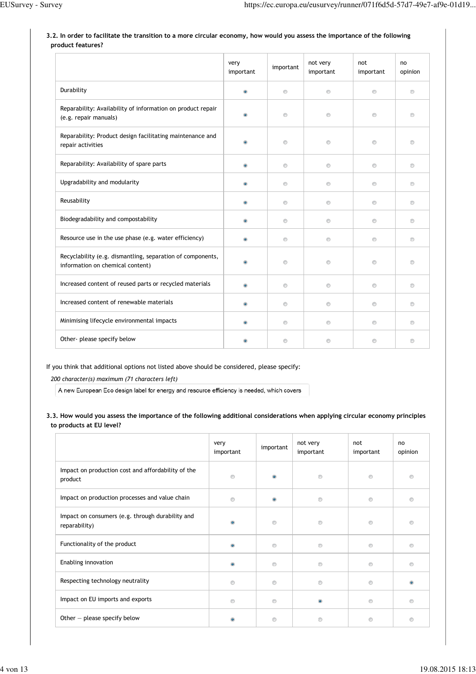# **3.2. In order to facilitate the transition to a more circular economy, how would you assess the importance of the following product features?**

|                                                                                                | very<br>important | important      | not very<br>important | not<br>important | no<br>opinion  |
|------------------------------------------------------------------------------------------------|-------------------|----------------|-----------------------|------------------|----------------|
| Durability                                                                                     | $\bullet$         | $\circledcirc$ | $\circledcirc$        | $\circledcirc$   | $\circledcirc$ |
| Reparability: Availability of information on product repair<br>(e.g. repair manuals)           | $\bullet$         | $\odot$        | $\circledcirc$        | $\odot$          | $\odot$        |
| Reparability: Product design facilitating maintenance and<br>repair activities                 | $\circledcirc$    | $\odot$        | $\odot$               | $\circledcirc$   | $\odot$        |
| Reparability: Availability of spare parts                                                      | $\bullet$         | $\odot$        | $\circledcirc$        | $\circledcirc$   | $\circledcirc$ |
| Upgradability and modularity                                                                   | $\bullet$         | $\circledcirc$ | $\circledcirc$        | $\circledcirc$   | $\circledcirc$ |
| Reusability                                                                                    | $\bullet$         | $\circledcirc$ | $\circledcirc$        | $\circledcirc$   | $\circledcirc$ |
| Biodegradability and compostability                                                            | $\bullet$         | $\circledcirc$ | $\circledcirc$        | $\circledcirc$   | $\circledcirc$ |
| Resource use in the use phase (e.g. water efficiency)                                          | $\bullet$         | $\odot$        | $\odot$               | $\circledcirc$   | ◉              |
| Recyclability (e.g. dismantling, separation of components,<br>information on chemical content) | $\circledcirc$    | $\odot$        | $\odot$               | $\circledcirc$   | $\odot$        |
| Increased content of reused parts or recycled materials                                        | $\bullet$         | $\circledcirc$ | $\circledcirc$        | $\odot$          | $\circledcirc$ |
| Increased content of renewable materials                                                       | $\bullet$         | $\circledcirc$ | $\circledcirc$        | ◉                | ◉              |
| Minimising lifecycle environmental impacts                                                     | $\bullet$         | $\circledcirc$ | $\circledcirc$        | $\circledcirc$   | $\circledcirc$ |
| Other- please specify below                                                                    |                   | $\circledcirc$ | $\circledcirc$        | $\circledcirc$   | $\circledcirc$ |

## If you think that additional options not listed above should be considered, please specify:

*200 character(s) maximum (71 characters left)*

A new European Eco design label for energy and resource efficiency is needed, which covers

# **3.3. How would you assess the importance of the following additional considerations when applying circular economy principles to products at EU level?**

|                                                                   | very<br>important | important      | not very<br>important | not<br>important | no<br>opinion  |
|-------------------------------------------------------------------|-------------------|----------------|-----------------------|------------------|----------------|
| Impact on production cost and affordability of the<br>product     | $^{\circ}$        | $\odot$        | $\circledcirc$        | $\circledcirc$   | $\odot$        |
| Impact on production processes and value chain                    | $\circledcirc$    | $\bullet$      | $\circledcirc$        | $\circledcirc$   | $\circledcirc$ |
| Impact on consumers (e.g. through durability and<br>reparability) | $\bullet$         | $\circledcirc$ | $\circledcirc$        | $\circledcirc$   | $\circ$        |
| Functionality of the product                                      | $\bullet$         | ◉              | $\circledcirc$        | $\circledcirc$   | $\odot$        |
| Enabling innovation                                               | $\circledcirc$    | ◉              | $\odot$               | $\circ$          | $\odot$        |
| Respecting technology neutrality                                  | $^{\circ}$        | ◉              | $\circledcirc$        | $\circledcirc$   |                |
| Impact on EU imports and exports                                  | $\circledcirc$    | ∩              | $\bullet$             | $\circledcirc$   | ∩              |
| Other $-$ please specify below                                    | $\ddot{\bullet}$  | $\odot$        | $\circledcirc$        | $\circ$          | $\circ$        |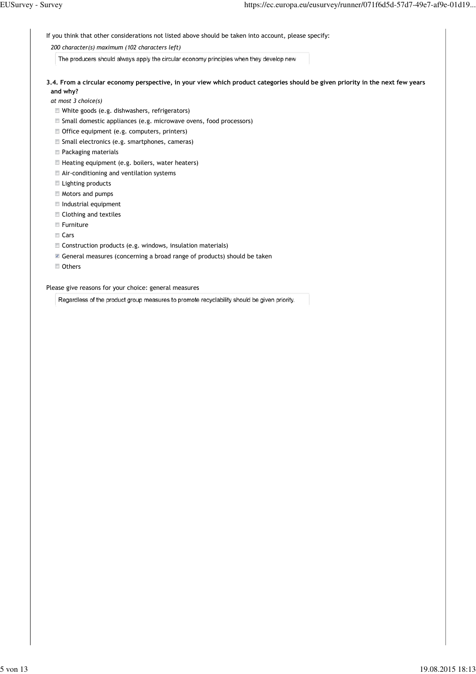If you think that other considerations not listed above should be taken into account, please specify:

#### *200 character(s) maximum (102 characters left)*

The producers should always apply the circular economy principles when they develop new

**3.4. From a circular economy perspective, in your view which product categories should be given priority in the next few years and why?**

*at most 3 choice(s)*

- White goods (e.g. dishwashers, refrigerators)
- Small domestic appliances (e.g. microwave ovens, food processors)
- Office equipment (e.g. computers, printers)
- Small electronics (e.g. smartphones, cameras)
- Packaging materials
- Heating equipment (e.g. boilers, water heaters)
- Air-conditioning and ventilation systems
- **Lighting products**
- **Motors and pumps**
- Industrial equipment
- Clothing and textiles
- **Furniture**
- Cars
- Construction products (e.g. windows, insulation materials)
- General measures (concerning a broad range of products) should be taken
- Others

Please give reasons for your choice: general measures

Regardless of the product group measures to promote recyclability should be given priority.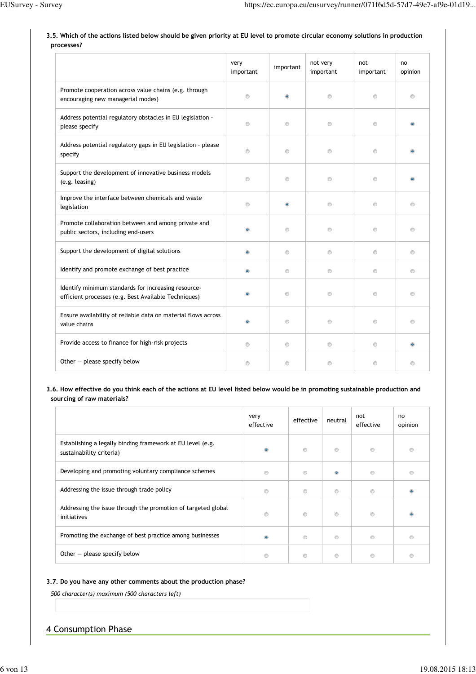|                                                                                                             | very<br>important | important      | not very<br>important | not<br>important | no<br>opinion  |
|-------------------------------------------------------------------------------------------------------------|-------------------|----------------|-----------------------|------------------|----------------|
| Promote cooperation across value chains (e.g. through<br>encouraging new managerial modes)                  | $\circledcirc$    | $\bullet$      | $\circledcirc$        | $\circledcirc$   | $\circledcirc$ |
| Address potential regulatory obstacles in EU legislation -<br>please specify                                | $\circledcirc$    | $\circledcirc$ | $\circledcirc$        | $^{\circ}$       |                |
| Address potential regulatory gaps in EU legislation - please<br>specify                                     | $\circledcirc$    | $\circledcirc$ | $\circledcirc$        | $\circledcirc$   |                |
| Support the development of innovative business models<br>(e.g. leasing)                                     | $\circledcirc$    | $\circledcirc$ | $\circledcirc$        | $\circledcirc$   |                |
| Improve the interface between chemicals and waste<br>legislation                                            | $\circledcirc$    | $\bullet$      | $\circledcirc$        | $\circledcirc$   | $\circledcirc$ |
| Promote collaboration between and among private and<br>public sectors, including end-users                  | $\bullet$         | $\circledcirc$ | $\circledcirc$        | $\circledcirc$   | $\odot$        |
| Support the development of digital solutions                                                                | $\bullet$         | $\circledcirc$ | $\circledcirc$        | $\circledcirc$   | $\odot$        |
| Identify and promote exchange of best practice                                                              | $\bullet$         | $\circledcirc$ | $\circledcirc$        | $\circledcirc$   | $\odot$        |
| Identify minimum standards for increasing resource-<br>efficient processes (e.g. Best Available Techniques) |                   | $\circledcirc$ | $\circledcirc$        | $\circledcirc$   | $\circledcirc$ |
| Ensure availability of reliable data on material flows across<br>value chains                               | $\bullet$         | $\circledcirc$ | $\circledcirc$        | $\circledcirc$   | $\circledcirc$ |
| Provide access to finance for high-risk projects                                                            | $\circledcirc$    | $\odot$        | $^{\circ}$            | $\circledcirc$   | $\bullet$      |
| Other - please specify below                                                                                | $\circledcirc$    | $\circledcirc$ | $\circledcirc$        | $\circledcirc$   | $\circledcirc$ |

## **3.5. Which of the actions listed below should be given priority at EU level to promote circular economy solutions in production processes?**

## **3.6. How effective do you think each of the actions at EU level listed below would be in promoting sustainable production and sourcing of raw materials?**

|                                                                                        | very<br>effective | effective      | neutral        | not<br>effective | no<br>opinion |
|----------------------------------------------------------------------------------------|-------------------|----------------|----------------|------------------|---------------|
| Establishing a legally binding framework at EU level (e.g.<br>sustainability criteria) | $\bullet$         | $\circledcirc$ | ◉              | ⊚                |               |
| Developing and promoting voluntary compliance schemes                                  | ⊚                 | $\circledcirc$ |                | ⋒                |               |
| Addressing the issue through trade policy                                              | ◉                 | $\circledcirc$ | $^{\circ}$     |                  |               |
| Addressing the issue through the promotion of targeted global<br>initiatives           | ⊙                 | $\circledcirc$ | $\odot$        | $^{\circ}$       |               |
| Promoting the exchange of best practice among businesses                               |                   | $\odot$        | ◉              |                  |               |
| Other $-$ please specify below                                                         | ⊙                 | $\circledcirc$ | $\circledcirc$ |                  |               |

# **3.7. Do you have any other comments about the production phase?**

*500 character(s) maximum (500 characters left)*

# 4 Consumption Phase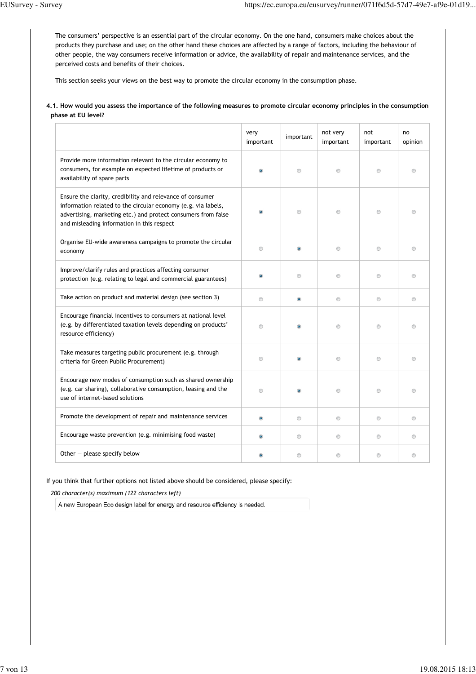The consumers' perspective is an essential part of the circular economy. On the one hand, consumers make choices about the products they purchase and use; on the other hand these choices are affected by a range of factors, including the behaviour of other people, the way consumers receive information or advice, the availability of repair and maintenance services, and the perceived costs and benefits of their choices.

This section seeks your views on the best way to promote the circular economy in the consumption phase.

#### **4.1. How would you assess the importance of the following measures to promote circular economy principles in the consumption phase at EU level?**

|                                                                                                                                                                                                                                           | very<br>important | important      | not very<br>important | not<br>important | no<br>opinion  |
|-------------------------------------------------------------------------------------------------------------------------------------------------------------------------------------------------------------------------------------------|-------------------|----------------|-----------------------|------------------|----------------|
| Provide more information relevant to the circular economy to<br>consumers, for example on expected lifetime of products or<br>availability of spare parts                                                                                 |                   | $\circledcirc$ | $\circledcirc$        | $\circledcirc$   | $^{\circ}$     |
| Ensure the clarity, credibility and relevance of consumer<br>information related to the circular economy (e.g. via labels,<br>advertising, marketing etc.) and protect consumers from false<br>and misleading information in this respect |                   | $\circledcirc$ | $\circledcirc$        | ◉                | ◉              |
| Organise EU-wide awareness campaigns to promote the circular<br>economy                                                                                                                                                                   | $^{\circ}$        |                | $\odot$               | $\odot$          | $\circledcirc$ |
| Improve/clarify rules and practices affecting consumer<br>protection (e.g. relating to legal and commercial guarantees)                                                                                                                   | $\bullet$         | $\circledcirc$ | $\circledcirc$        | $\circledcirc$   | $\circ$        |
| Take action on product and material design (see section 3)                                                                                                                                                                                | $\circledcirc$    | $\bullet$      | $\circledcirc$        | $\circledcirc$   | $\circledcirc$ |
| Encourage financial incentives to consumers at national level<br>(e.g. by differentiated taxation levels depending on products'<br>resource efficiency)                                                                                   | $\circledcirc$    |                | $\odot$               | $\circ$          | $\circ$        |
| Take measures targeting public procurement (e.g. through<br>criteria for Green Public Procurement)                                                                                                                                        | $\circledcirc$    |                | $\circledcirc$        | $\circledcirc$   | $\circledcirc$ |
| Encourage new modes of consumption such as shared ownership<br>(e.g. car sharing), collaborative consumption, leasing and the<br>use of internet-based solutions                                                                          | $\circledcirc$    |                | $\circledcirc$        | $\circledcirc$   | $\circledcirc$ |
| Promote the development of repair and maintenance services                                                                                                                                                                                | $\bullet$         | $\circledcirc$ | $\circ$               | $\circledcirc$   | $\circledcirc$ |
| Encourage waste prevention (e.g. minimising food waste)                                                                                                                                                                                   | $\bullet$         | $\circledcirc$ | $\circledcirc$        | $\circledcirc$   | $\circledcirc$ |
| Other $-$ please specify below                                                                                                                                                                                                            |                   | $\circledcirc$ | $\odot$               | ◉                | $\circledcirc$ |

If you think that further options not listed above should be considered, please specify:

*200 character(s) maximum (122 characters left)*

A new European Eco design label for energy and resource efficiency is needed.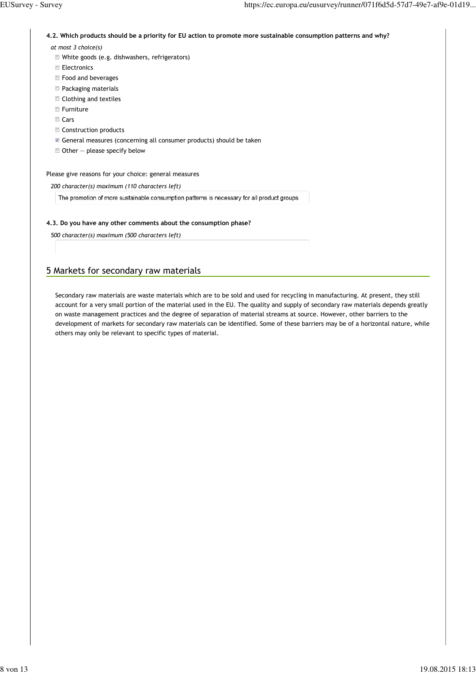**4.2. Which products should be a priority for EU action to promote more sustainable consumption patterns and why?**

*at most 3 choice(s)*

- White goods (e.g. dishwashers, refrigerators)
- **Electronics**
- **Food and beverages**
- Packaging materials
- Clothing and textiles
- **Furniture**
- Cars
- Construction products
- General measures (concerning all consumer products) should be taken
- $\blacksquare$  Other please specify below

Please give reasons for your choice: general measures

*200 character(s) maximum (110 characters left)*

The promotion of more sustainable consumption patterns is necessary for all product groups

### **4.3. Do you have any other comments about the consumption phase?**

*500 character(s) maximum (500 characters left)*

# 5 Markets for secondary raw materials

Secondary raw materials are waste materials which are to be sold and used for recycling in manufacturing. At present, they still account for a very small portion of the material used in the EU. The quality and supply of secondary raw materials depends greatly on waste management practices and the degree of separation of material streams at source. However, other barriers to the development of markets for secondary raw materials can be identified. Some of these barriers may be of a horizontal nature, while others may only be relevant to specific types of material.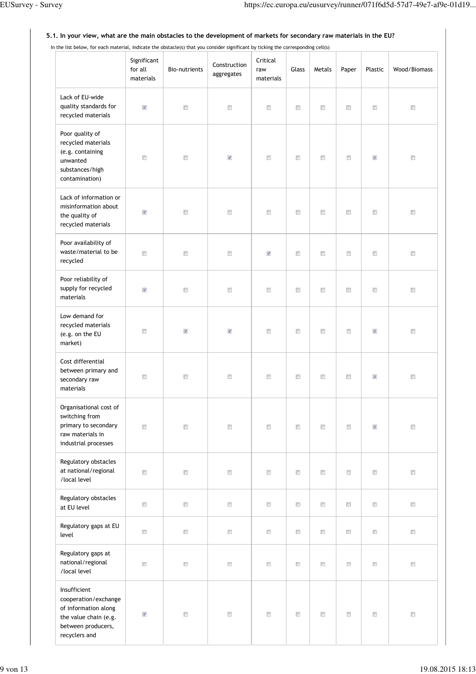#### In the list below, for each material, indicate the obstacle(s) that you consider significant by ticking the corresponding cell(s) Significant Critical Construction for all Bio-nutrients Glass | Metals | Paper | Plastic | Wood/Biomass raw aggregates materials materials Lack of EU-wide quality standards for  $\overline{\mathcal{A}}$  $\Box$  $\Box$  $\Box$  $\Box$  $\Box$  $\Box$  $\Box$  $\Box$ recycled materials Poor quality of recycled materials (e.g. containing  $\overline{\phantom{a}}$  $\Box$  $\sqrt{ }$  $\overline{\mathbb{F}}$  $\overline{\mathbb{R}^n}$  $\overline{\mathbb{F}}$  $\overline{\phantom{a}}$  $\sqrt{ }$  $\overline{\Box}$ unwanted substances/high contamination) Lack of information or misinformation about  $\overline{\mathsf{v}}$  $\overline{\mathbb{R}^n}$  $\overline{\mathbb{R}^n}$  $\overline{\mathbb{R}^n}$  $\overline{\mathbb{R}^n}$  $\overline{\mathbb{R}^n}$  $\overline{\phantom{a}}$  $\overline{\mathbb{R}^n}$  $\overline{\Box}$ the quality of recycled materials Poor availability of waste/material to be  $\overline{\phantom{a}}$  $\Box$  $\overline{\mathbb{R}^n}$  $\Box$  $\overline{\phantom{a}}$  $\overline{\phantom{a}}$  $\overline{\mathbb{R}^n}$  $\Box$  $\overline{\mathbf{v}}$ recycled Poor reliability of supply for recycled  $\checkmark$  $\Box$  $\overline{\Box}$  $\overline{\Box}$  $\overline{\mathbb{R}^n}$  $\Box$  $\Box$  $\Box$  $\overline{\Box}$ materials Low demand for recycled materials  $\overline{\phantom{a}}$  $\overline{\mathbb{R}^n}$  $\overline{\mathbb{R}^n}$  $\overline{\Box}$  $\overline{\Box}$  $\triangledown$  $\overline{\mathbf{v}}$  $\overline{\mathbb{R}^n}$  $\overline{\mathbf{v}}$ (e.g. on the EU market) Cost differential between primary and  $\overline{\phantom{a}}$  $\overline{\phantom{a}}$  $\overline{\phantom{a}}$  $\overline{\mathbb{R}^n}$  $\overline{\mathbb{R}^n}$  $\overline{\phantom{a}}$  $\overline{\phantom{a}}$  $\overline{\mathbf{v}}$  $\overline{\mathbb{R}^n}$ secondary raw materials Organisational cost of switching from primary to secondary  $\overline{\mathbb{R}^n}$  $\overline{\mathbb{R}^n}$  $\overline{\Box}$  $\overline{\mathbb{R}}$  $\overline{\mathbb{R}^n}$  $\overline{\mathbb{R}}$  $\overline{\phantom{a}}$  $\sqrt{ }$  $\overline{\Box}$ raw materials in industrial processes Regulatory obstacles at national/regional  $\overline{\Box}$  $\overline{\Box}$  $\overline{\mathbb{R}^n}$  $\overline{\mathbb{R}^n}$  $\overline{\mathbb{R}^n}$  $\overline{\mathbb{R}^n}$  $\Box$  $\overline{\phantom{a}}$  $\overline{\mathbb{F}}$ /local level Regulatory obstacles  $\overline{\phantom{a}}$  $\Box$  $\overline{\mathbb{R}^n}$  $\overline{\mathbb{R}^n}$  $\overline{\mathbb{R}}$  $\overline{\mathbb{R}^n}$  $\overline{\phantom{a}}$  $\overline{\mathbb{R}^n}$  $\overline{\phantom{m}}$ at EU level Regulatory gaps at EU  $\Box$  $\Box$  $\Box$  $\Box$  $\Box$  $\Box$  $\Box$  $\Box$  $\Box$ level Regulatory gaps at national/regional  $\Box$  $\overline{\Box}$  $\Box$  $\Box$  $\Box$  $\Box$  $\Box$  $\Box$  $\Box$ /local level Insufficient cooperation/exchange of information along  $\overline{\mathsf{v}}$  $\overline{\mathbb{R}^n}$  $\overline{\mathbb{R}^n}$  $\overline{\mathbb{R}^n}$  $\overline{\mathbb{R}^n}$  $\overline{\mathbb{R}^n}$  $\overline{\phantom{a}}$  $\overline{\mathbb{R}^n}$  $\overline{\phantom{a}}$ the value chain (e.g. between producers, recyclers and

### **5.1. In your view, what are the main obstacles to the development of markets for secondary raw materials in the EU?**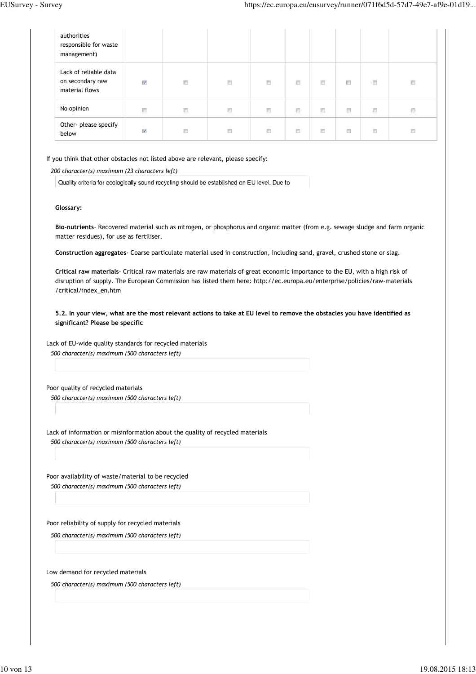| authorities<br>responsible for waste<br>management)         |                      |        |        |        |        |        |                      |        |        |
|-------------------------------------------------------------|----------------------|--------|--------|--------|--------|--------|----------------------|--------|--------|
| Lack of reliable data<br>on secondary raw<br>material flows | $\blacktriangledown$ | $\Box$ | E      | $\Box$ | $\Box$ | n      | $\qquad \qquad \Box$ | $\Box$ | $\Box$ |
| No opinion                                                  | $\Box$               | $\Box$ | $\Box$ | $\Box$ | $\Box$ | $\Box$ | $\Box$               | $\Box$ | $\Box$ |
| Other- please specify<br>below                              | $\sqrt{2}$           | $\Box$ | $\Box$ | Π      | $\Box$ | F      | $\Box$               | $\Box$ | $\Box$ |

If you think that other obstacles not listed above are relevant, please specify:

*200 character(s) maximum (23 characters left)*

Quality criteria for ecologically sound recycling should be established on EU level. Due to

#### **Glossary:**

**Bio-nutrients**- Recovered material such as nitrogen, or phosphorus and organic matter (from e.g. sewage sludge and farm organic matter residues), for use as fertiliser.

**Construction aggregates**- Coarse particulate material used in construction, including sand, gravel, crushed stone or slag.

**Critical raw materials**- Critical raw materials are raw materials of great economic importance to the EU, with a high risk of disruption of supply. The European Commission has listed them here: http://ec.europa.eu/enterprise/policies/raw-materials /critical/index\_en.htm

**5.2. In your view, what are the most relevant actions to take at EU level to remove the obstacles you have identified as significant? Please be specific**

Lack of EU-wide quality standards for recycled materials *500 character(s) maximum (500 characters left)*

Poor quality of recycled materials *500 character(s) maximum (500 characters left)*

Lack of information or misinformation about the quality of recycled materials *500 character(s) maximum (500 characters left)*

Poor availability of waste/material to be recycled *500 character(s) maximum (500 characters left)*

Poor reliability of supply for recycled materials

*500 character(s) maximum (500 characters left)*

Low demand for recycled materials

*500 character(s) maximum (500 characters left)*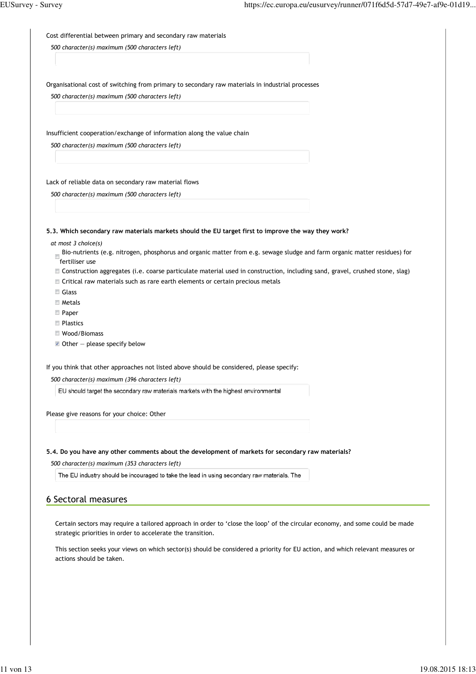Cost differential between primary and secondary raw materials

*500 character(s) maximum (500 characters left)*

Organisational cost of switching from primary to secondary raw materials in industrial processes

*500 character(s) maximum (500 characters left)*

Insufficient cooperation/exchange of information along the value chain

*500 character(s) maximum (500 characters left)*

Lack of reliable data on secondary raw material flows

*500 character(s) maximum (500 characters left)*

**5.3. Which secondary raw materials markets should the EU target first to improve the way they work?**

*at most 3 choice(s)*

- Bio-nutrients (e.g. nitrogen, phosphorus and organic matter from e.g. sewage sludge and farm organic matter residues) for fertiliser use
- Construction aggregates (i.e. coarse particulate material used in construction, including sand, gravel, crushed stone, slag)
- Critical raw materials such as rare earth elements or certain precious metals
- Glass
- **Metals**
- **Paper**
- **Plastics**
- Wood/Biomass
- $\blacksquare$  Other please specify below

If you think that other approaches not listed above should be considered, please specify:

*500 character(s) maximum (396 characters left)*

EU should target the secondary raw materials markets with the highest environmental

Please give reasons for your choice: Other

#### **5.4. Do you have any other comments about the development of markets for secondary raw materials?**

*500 character(s) maximum (353 characters left)*

The EU industry should be incouraged to take the lead in using secondary raw materials. The

## 6 Sectoral measures

Certain sectors may require a tailored approach in order to 'close the loop' of the circular economy, and some could be made strategic priorities in order to accelerate the transition.

This section seeks your views on which sector(s) should be considered a priority for EU action, and which relevant measures or actions should be taken.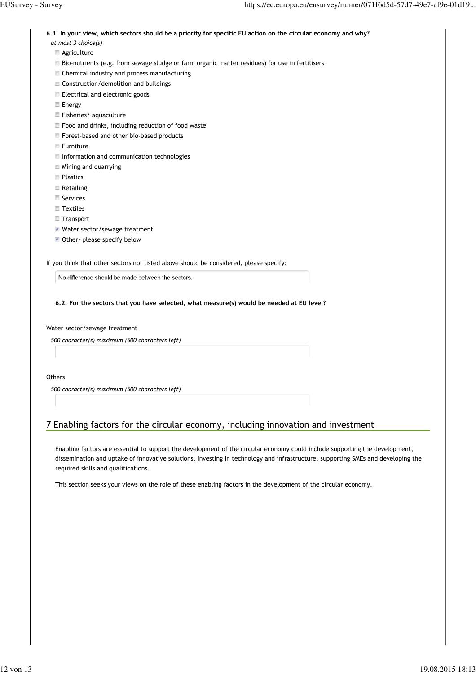**6.1. In your view, which sectors should be a priority for specific EU action on the circular economy and why?**

- *at most 3 choice(s)*
- **Agriculture**
- Bio-nutrients (e.g. from sewage sludge or farm organic matter residues) for use in fertilisers
- Chemical industry and process manufacturing
- Construction/demolition and buildings
- Electrical and electronic goods
- **Energy**
- **Fisheries/aquaculture**
- Food and drinks, including reduction of food waste
- Forest-based and other bio-based products
- **Furniture**
- **Information and communication technologies**
- Mining and quarrying
- **Plastics**
- **Retailing**
- Services
- **Textiles**
- **Transport**
- Water sector/sewage treatment
- Other- please specify below

If you think that other sectors not listed above should be considered, please specify:

No difference should be made between the sectors.

**6.2. For the sectors that you have selected, what measure(s) would be needed at EU level?**

Water sector/sewage treatment

*500 character(s) maximum (500 characters left)*

#### **Others**

*500 character(s) maximum (500 characters left)*

# 7 Enabling factors for the circular economy, including innovation and investment

Enabling factors are essential to support the development of the circular economy could include supporting the development, dissemination and uptake of innovative solutions, investing in technology and infrastructure, supporting SMEs and developing the required skills and qualifications.

This section seeks your views on the role of these enabling factors in the development of the circular economy.